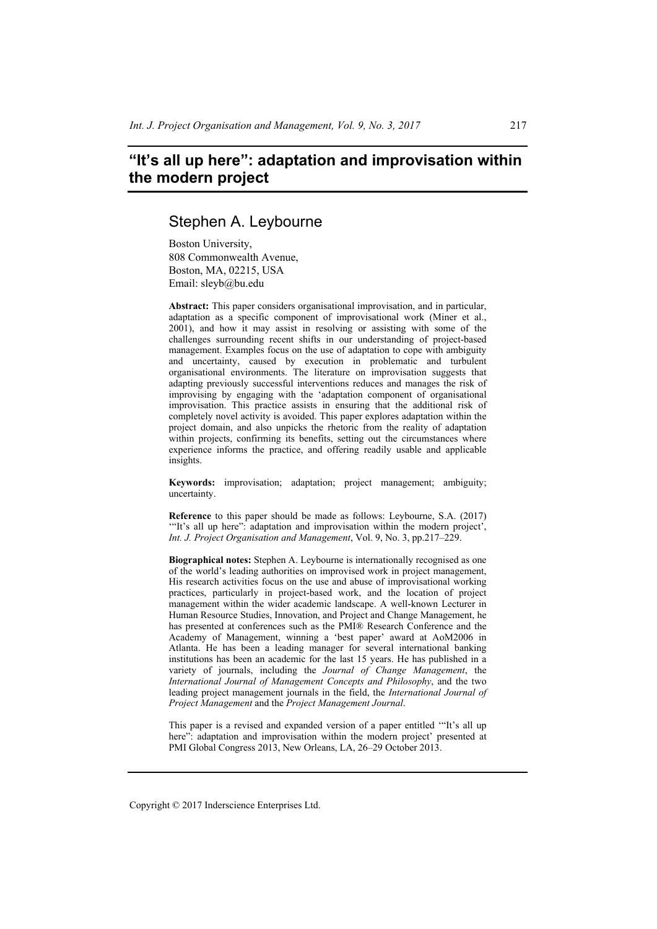# **"It's all up here": adaptation and improvisation within the modern project**

## Stephen A. Leybourne

Boston University, 808 Commonwealth Avenue, Boston, MA, 02215, USA Email: sleyb@bu.edu

**Abstract:** This paper considers organisational improvisation, and in particular, adaptation as a specific component of improvisational work (Miner et al., 2001), and how it may assist in resolving or assisting with some of the challenges surrounding recent shifts in our understanding of project-based management. Examples focus on the use of adaptation to cope with ambiguity and uncertainty, caused by execution in problematic and turbulent organisational environments. The literature on improvisation suggests that adapting previously successful interventions reduces and manages the risk of improvising by engaging with the 'adaptation component of organisational improvisation. This practice assists in ensuring that the additional risk of completely novel activity is avoided. This paper explores adaptation within the project domain, and also unpicks the rhetoric from the reality of adaptation within projects, confirming its benefits, setting out the circumstances where experience informs the practice, and offering readily usable and applicable insights.

**Keywords:** improvisation; adaptation; project management; ambiguity; uncertainty.

**Reference** to this paper should be made as follows: Leybourne, S.A. (2017) '"It's all up here": adaptation and improvisation within the modern project', *Int. J. Project Organisation and Management*, Vol. 9, No. 3, pp.217–229.

**Biographical notes:** Stephen A. Leybourne is internationally recognised as one of the world's leading authorities on improvised work in project management, His research activities focus on the use and abuse of improvisational working practices, particularly in project-based work, and the location of project management within the wider academic landscape. A well-known Lecturer in Human Resource Studies, Innovation, and Project and Change Management, he has presented at conferences such as the PMI® Research Conference and the Academy of Management, winning a 'best paper' award at AoM2006 in Atlanta. He has been a leading manager for several international banking institutions has been an academic for the last 15 years. He has published in a variety of journals, including the *Journal of Change Management*, the *International Journal of Management Concepts and Philosophy*, and the two leading project management journals in the field, the *International Journal of Project Management* and the *Project Management Journal*.

This paper is a revised and expanded version of a paper entitled '"It's all up here": adaptation and improvisation within the modern project' presented at PMI Global Congress 2013, New Orleans, LA, 26–29 October 2013.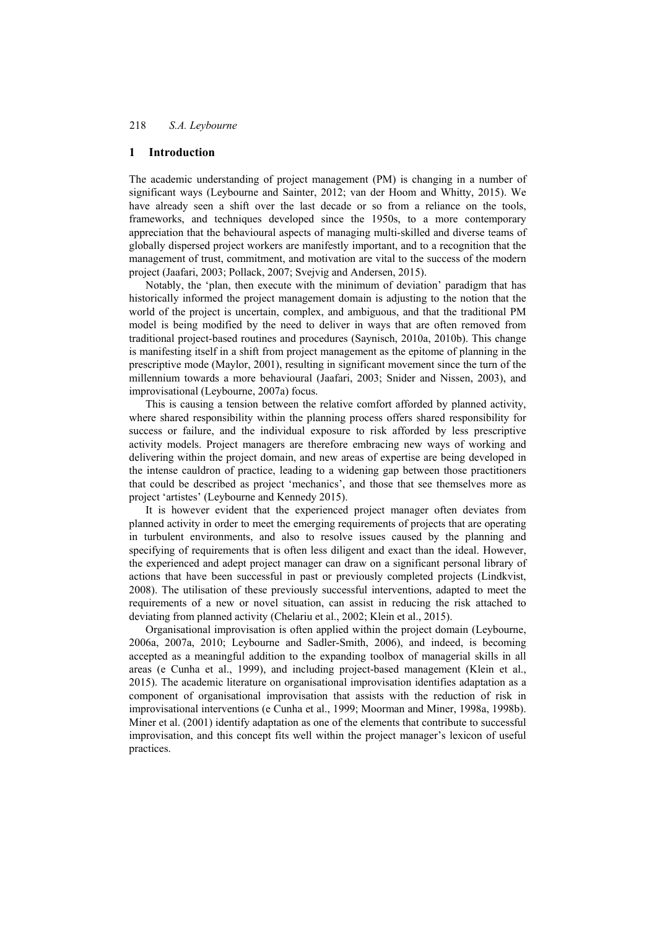#### **1 Introduction**

The academic understanding of project management (PM) is changing in a number of significant ways (Leybourne and Sainter, 2012; van der Hoom and Whitty, 2015). We have already seen a shift over the last decade or so from a reliance on the tools, frameworks, and techniques developed since the 1950s, to a more contemporary appreciation that the behavioural aspects of managing multi-skilled and diverse teams of globally dispersed project workers are manifestly important, and to a recognition that the management of trust, commitment, and motivation are vital to the success of the modern project (Jaafari, 2003; Pollack, 2007; Svejvig and Andersen, 2015).

Notably, the 'plan, then execute with the minimum of deviation' paradigm that has historically informed the project management domain is adjusting to the notion that the world of the project is uncertain, complex, and ambiguous, and that the traditional PM model is being modified by the need to deliver in ways that are often removed from traditional project-based routines and procedures (Saynisch, 2010a, 2010b). This change is manifesting itself in a shift from project management as the epitome of planning in the prescriptive mode (Maylor, 2001), resulting in significant movement since the turn of the millennium towards a more behavioural (Jaafari, 2003; Snider and Nissen, 2003), and improvisational (Leybourne, 2007a) focus.

This is causing a tension between the relative comfort afforded by planned activity, where shared responsibility within the planning process offers shared responsibility for success or failure, and the individual exposure to risk afforded by less prescriptive activity models. Project managers are therefore embracing new ways of working and delivering within the project domain, and new areas of expertise are being developed in the intense cauldron of practice, leading to a widening gap between those practitioners that could be described as project 'mechanics', and those that see themselves more as project 'artistes' (Leybourne and Kennedy 2015).

It is however evident that the experienced project manager often deviates from planned activity in order to meet the emerging requirements of projects that are operating in turbulent environments, and also to resolve issues caused by the planning and specifying of requirements that is often less diligent and exact than the ideal. However, the experienced and adept project manager can draw on a significant personal library of actions that have been successful in past or previously completed projects (Lindkvist, 2008). The utilisation of these previously successful interventions, adapted to meet the requirements of a new or novel situation, can assist in reducing the risk attached to deviating from planned activity (Chelariu et al., 2002; Klein et al., 2015).

Organisational improvisation is often applied within the project domain (Leybourne, 2006a, 2007a, 2010; Leybourne and Sadler-Smith, 2006), and indeed, is becoming accepted as a meaningful addition to the expanding toolbox of managerial skills in all areas (e Cunha et al., 1999), and including project-based management (Klein et al., 2015). The academic literature on organisational improvisation identifies adaptation as a component of organisational improvisation that assists with the reduction of risk in improvisational interventions (e Cunha et al., 1999; Moorman and Miner, 1998a, 1998b). Miner et al. (2001) identify adaptation as one of the elements that contribute to successful improvisation, and this concept fits well within the project manager's lexicon of useful practices.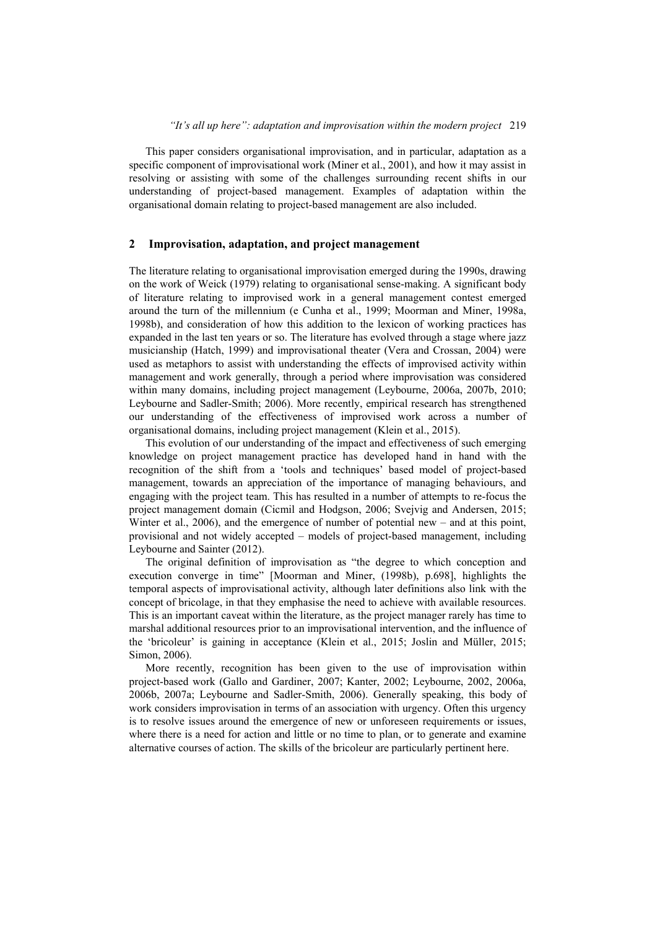This paper considers organisational improvisation, and in particular, adaptation as a specific component of improvisational work (Miner et al., 2001), and how it may assist in resolving or assisting with some of the challenges surrounding recent shifts in our understanding of project-based management. Examples of adaptation within the organisational domain relating to project-based management are also included.

#### **2 Improvisation, adaptation, and project management**

The literature relating to organisational improvisation emerged during the 1990s, drawing on the work of Weick (1979) relating to organisational sense-making. A significant body of literature relating to improvised work in a general management contest emerged around the turn of the millennium (e Cunha et al., 1999; Moorman and Miner, 1998a, 1998b), and consideration of how this addition to the lexicon of working practices has expanded in the last ten years or so. The literature has evolved through a stage where jazz musicianship (Hatch, 1999) and improvisational theater (Vera and Crossan, 2004) were used as metaphors to assist with understanding the effects of improvised activity within management and work generally, through a period where improvisation was considered within many domains, including project management (Leybourne, 2006a, 2007b, 2010; Leybourne and Sadler-Smith; 2006). More recently, empirical research has strengthened our understanding of the effectiveness of improvised work across a number of organisational domains, including project management (Klein et al., 2015).

This evolution of our understanding of the impact and effectiveness of such emerging knowledge on project management practice has developed hand in hand with the recognition of the shift from a 'tools and techniques' based model of project-based management, towards an appreciation of the importance of managing behaviours, and engaging with the project team. This has resulted in a number of attempts to re-focus the project management domain (Cicmil and Hodgson, 2006; Svejvig and Andersen, 2015; Winter et al., 2006), and the emergence of number of potential new – and at this point, provisional and not widely accepted – models of project-based management, including Leybourne and Sainter (2012).

The original definition of improvisation as "the degree to which conception and execution converge in time" [Moorman and Miner, (1998b), p.698], highlights the temporal aspects of improvisational activity, although later definitions also link with the concept of bricolage, in that they emphasise the need to achieve with available resources. This is an important caveat within the literature, as the project manager rarely has time to marshal additional resources prior to an improvisational intervention, and the influence of the 'bricoleur' is gaining in acceptance (Klein et al., 2015; Joslin and Müller, 2015; Simon, 2006).

More recently, recognition has been given to the use of improvisation within project-based work (Gallo and Gardiner, 2007; Kanter, 2002; Leybourne, 2002, 2006a, 2006b, 2007a; Leybourne and Sadler-Smith, 2006). Generally speaking, this body of work considers improvisation in terms of an association with urgency. Often this urgency is to resolve issues around the emergence of new or unforeseen requirements or issues, where there is a need for action and little or no time to plan, or to generate and examine alternative courses of action. The skills of the bricoleur are particularly pertinent here.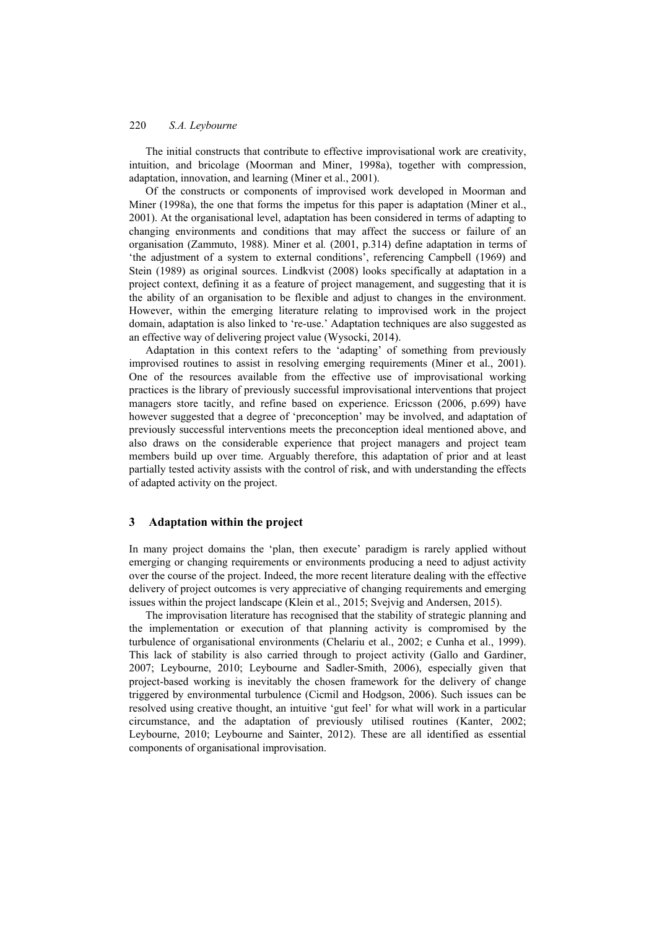The initial constructs that contribute to effective improvisational work are creativity, intuition, and bricolage (Moorman and Miner, 1998a), together with compression, adaptation, innovation, and learning (Miner et al., 2001).

Of the constructs or components of improvised work developed in Moorman and Miner (1998a), the one that forms the impetus for this paper is adaptation (Miner et al., 2001). At the organisational level, adaptation has been considered in terms of adapting to changing environments and conditions that may affect the success or failure of an organisation (Zammuto, 1988). Miner et al*.* (2001, p.314) define adaptation in terms of 'the adjustment of a system to external conditions', referencing Campbell (1969) and Stein (1989) as original sources. Lindkvist (2008) looks specifically at adaptation in a project context, defining it as a feature of project management, and suggesting that it is the ability of an organisation to be flexible and adjust to changes in the environment. However, within the emerging literature relating to improvised work in the project domain, adaptation is also linked to 're-use.' Adaptation techniques are also suggested as an effective way of delivering project value (Wysocki, 2014).

Adaptation in this context refers to the 'adapting' of something from previously improvised routines to assist in resolving emerging requirements (Miner et al., 2001). One of the resources available from the effective use of improvisational working practices is the library of previously successful improvisational interventions that project managers store tacitly, and refine based on experience. Ericsson (2006, p.699) have however suggested that a degree of 'preconception' may be involved, and adaptation of previously successful interventions meets the preconception ideal mentioned above, and also draws on the considerable experience that project managers and project team members build up over time. Arguably therefore, this adaptation of prior and at least partially tested activity assists with the control of risk, and with understanding the effects of adapted activity on the project.

#### **3 Adaptation within the project**

In many project domains the 'plan, then execute' paradigm is rarely applied without emerging or changing requirements or environments producing a need to adjust activity over the course of the project. Indeed, the more recent literature dealing with the effective delivery of project outcomes is very appreciative of changing requirements and emerging issues within the project landscape (Klein et al., 2015; Svejvig and Andersen, 2015).

The improvisation literature has recognised that the stability of strategic planning and the implementation or execution of that planning activity is compromised by the turbulence of organisational environments (Chelariu et al., 2002; e Cunha et al., 1999). This lack of stability is also carried through to project activity (Gallo and Gardiner, 2007; Leybourne, 2010; Leybourne and Sadler-Smith, 2006), especially given that project-based working is inevitably the chosen framework for the delivery of change triggered by environmental turbulence (Cicmil and Hodgson, 2006). Such issues can be resolved using creative thought, an intuitive 'gut feel' for what will work in a particular circumstance, and the adaptation of previously utilised routines (Kanter, 2002; Leybourne, 2010; Leybourne and Sainter, 2012). These are all identified as essential components of organisational improvisation.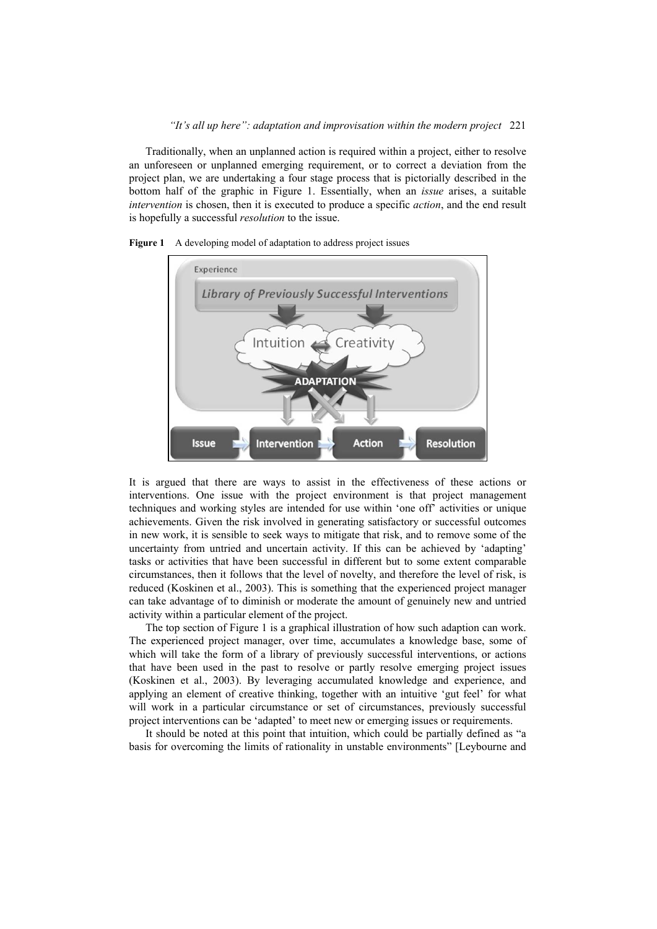Traditionally, when an unplanned action is required within a project, either to resolve an unforeseen or unplanned emerging requirement, or to correct a deviation from the project plan, we are undertaking a four stage process that is pictorially described in the bottom half of the graphic in Figure 1. Essentially, when an *issue* arises, a suitable *intervention* is chosen, then it is executed to produce a specific *action*, and the end result is hopefully a successful *resolution* to the issue.



Figure 1 A developing model of adaptation to address project issues

It is argued that there are ways to assist in the effectiveness of these actions or interventions. One issue with the project environment is that project management techniques and working styles are intended for use within 'one off' activities or unique achievements. Given the risk involved in generating satisfactory or successful outcomes in new work, it is sensible to seek ways to mitigate that risk, and to remove some of the uncertainty from untried and uncertain activity. If this can be achieved by 'adapting' tasks or activities that have been successful in different but to some extent comparable circumstances, then it follows that the level of novelty, and therefore the level of risk, is reduced (Koskinen et al., 2003). This is something that the experienced project manager can take advantage of to diminish or moderate the amount of genuinely new and untried activity within a particular element of the project.

The top section of Figure 1 is a graphical illustration of how such adaption can work. The experienced project manager, over time, accumulates a knowledge base, some of which will take the form of a library of previously successful interventions, or actions that have been used in the past to resolve or partly resolve emerging project issues (Koskinen et al., 2003). By leveraging accumulated knowledge and experience, and applying an element of creative thinking, together with an intuitive 'gut feel' for what will work in a particular circumstance or set of circumstances, previously successful project interventions can be 'adapted' to meet new or emerging issues or requirements.

It should be noted at this point that intuition, which could be partially defined as "a basis for overcoming the limits of rationality in unstable environments" [Leybourne and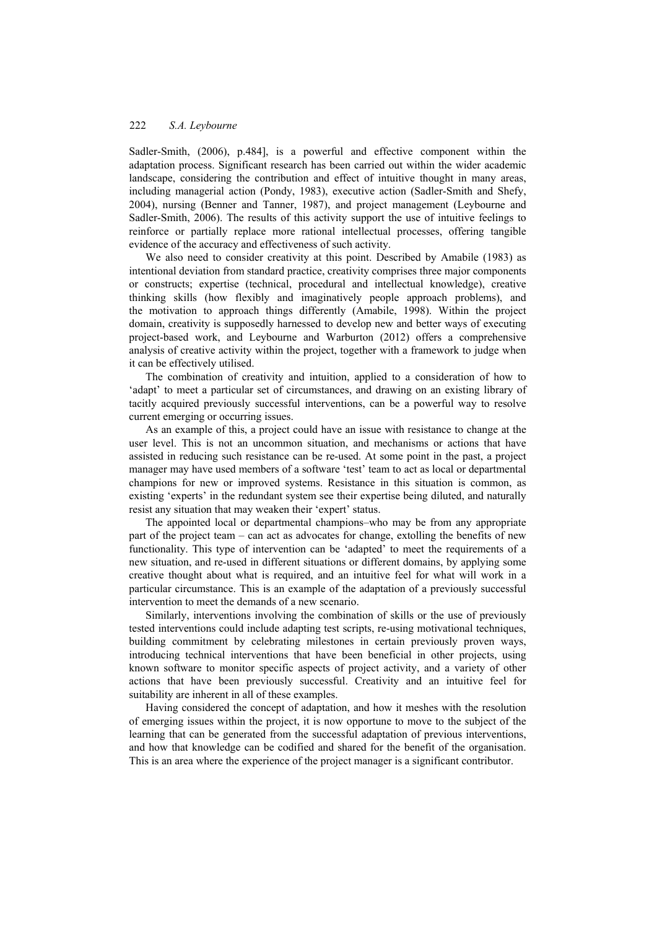Sadler-Smith, (2006), p.484], is a powerful and effective component within the adaptation process. Significant research has been carried out within the wider academic landscape, considering the contribution and effect of intuitive thought in many areas, including managerial action (Pondy, 1983), executive action (Sadler-Smith and Shefy, 2004), nursing (Benner and Tanner, 1987), and project management (Leybourne and Sadler-Smith, 2006). The results of this activity support the use of intuitive feelings to reinforce or partially replace more rational intellectual processes, offering tangible evidence of the accuracy and effectiveness of such activity.

We also need to consider creativity at this point. Described by Amabile (1983) as intentional deviation from standard practice, creativity comprises three major components or constructs; expertise (technical, procedural and intellectual knowledge), creative thinking skills (how flexibly and imaginatively people approach problems), and the motivation to approach things differently (Amabile, 1998). Within the project domain, creativity is supposedly harnessed to develop new and better ways of executing project-based work, and Leybourne and Warburton (2012) offers a comprehensive analysis of creative activity within the project, together with a framework to judge when it can be effectively utilised.

The combination of creativity and intuition, applied to a consideration of how to 'adapt' to meet a particular set of circumstances, and drawing on an existing library of tacitly acquired previously successful interventions, can be a powerful way to resolve current emerging or occurring issues.

As an example of this, a project could have an issue with resistance to change at the user level. This is not an uncommon situation, and mechanisms or actions that have assisted in reducing such resistance can be re-used. At some point in the past, a project manager may have used members of a software 'test' team to act as local or departmental champions for new or improved systems. Resistance in this situation is common, as existing 'experts' in the redundant system see their expertise being diluted, and naturally resist any situation that may weaken their 'expert' status.

The appointed local or departmental champions–who may be from any appropriate part of the project team – can act as advocates for change, extolling the benefits of new functionality. This type of intervention can be 'adapted' to meet the requirements of a new situation, and re-used in different situations or different domains, by applying some creative thought about what is required, and an intuitive feel for what will work in a particular circumstance. This is an example of the adaptation of a previously successful intervention to meet the demands of a new scenario.

Similarly, interventions involving the combination of skills or the use of previously tested interventions could include adapting test scripts, re-using motivational techniques, building commitment by celebrating milestones in certain previously proven ways, introducing technical interventions that have been beneficial in other projects, using known software to monitor specific aspects of project activity, and a variety of other actions that have been previously successful. Creativity and an intuitive feel for suitability are inherent in all of these examples.

Having considered the concept of adaptation, and how it meshes with the resolution of emerging issues within the project, it is now opportune to move to the subject of the learning that can be generated from the successful adaptation of previous interventions, and how that knowledge can be codified and shared for the benefit of the organisation. This is an area where the experience of the project manager is a significant contributor.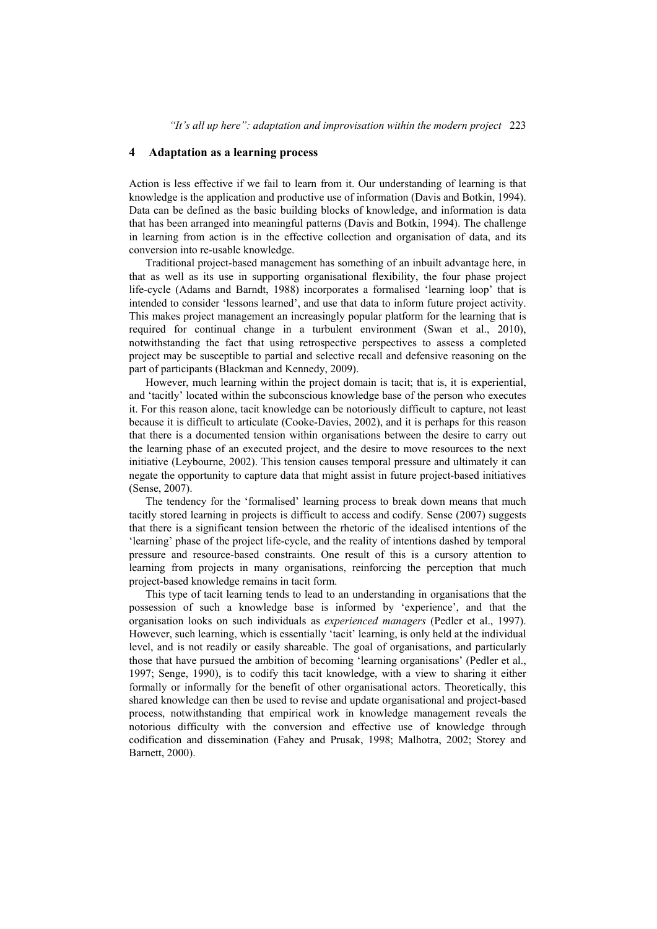## **4 Adaptation as a learning process**

Action is less effective if we fail to learn from it. Our understanding of learning is that knowledge is the application and productive use of information (Davis and Botkin, 1994). Data can be defined as the basic building blocks of knowledge, and information is data that has been arranged into meaningful patterns (Davis and Botkin, 1994). The challenge in learning from action is in the effective collection and organisation of data, and its conversion into re-usable knowledge.

Traditional project-based management has something of an inbuilt advantage here, in that as well as its use in supporting organisational flexibility, the four phase project life-cycle (Adams and Barndt, 1988) incorporates a formalised 'learning loop' that is intended to consider 'lessons learned', and use that data to inform future project activity. This makes project management an increasingly popular platform for the learning that is required for continual change in a turbulent environment (Swan et al., 2010), notwithstanding the fact that using retrospective perspectives to assess a completed project may be susceptible to partial and selective recall and defensive reasoning on the part of participants (Blackman and Kennedy, 2009).

However, much learning within the project domain is tacit; that is, it is experiential, and 'tacitly' located within the subconscious knowledge base of the person who executes it. For this reason alone, tacit knowledge can be notoriously difficult to capture, not least because it is difficult to articulate (Cooke-Davies, 2002), and it is perhaps for this reason that there is a documented tension within organisations between the desire to carry out the learning phase of an executed project, and the desire to move resources to the next initiative (Leybourne, 2002). This tension causes temporal pressure and ultimately it can negate the opportunity to capture data that might assist in future project-based initiatives (Sense, 2007).

The tendency for the 'formalised' learning process to break down means that much tacitly stored learning in projects is difficult to access and codify. Sense (2007) suggests that there is a significant tension between the rhetoric of the idealised intentions of the 'learning' phase of the project life-cycle, and the reality of intentions dashed by temporal pressure and resource-based constraints. One result of this is a cursory attention to learning from projects in many organisations, reinforcing the perception that much project-based knowledge remains in tacit form.

This type of tacit learning tends to lead to an understanding in organisations that the possession of such a knowledge base is informed by 'experience', and that the organisation looks on such individuals as *experienced managers* (Pedler et al., 1997). However, such learning, which is essentially 'tacit' learning, is only held at the individual level, and is not readily or easily shareable. The goal of organisations, and particularly those that have pursued the ambition of becoming 'learning organisations' (Pedler et al., 1997; Senge, 1990), is to codify this tacit knowledge, with a view to sharing it either formally or informally for the benefit of other organisational actors. Theoretically, this shared knowledge can then be used to revise and update organisational and project-based process, notwithstanding that empirical work in knowledge management reveals the notorious difficulty with the conversion and effective use of knowledge through codification and dissemination (Fahey and Prusak, 1998; Malhotra, 2002; Storey and Barnett, 2000).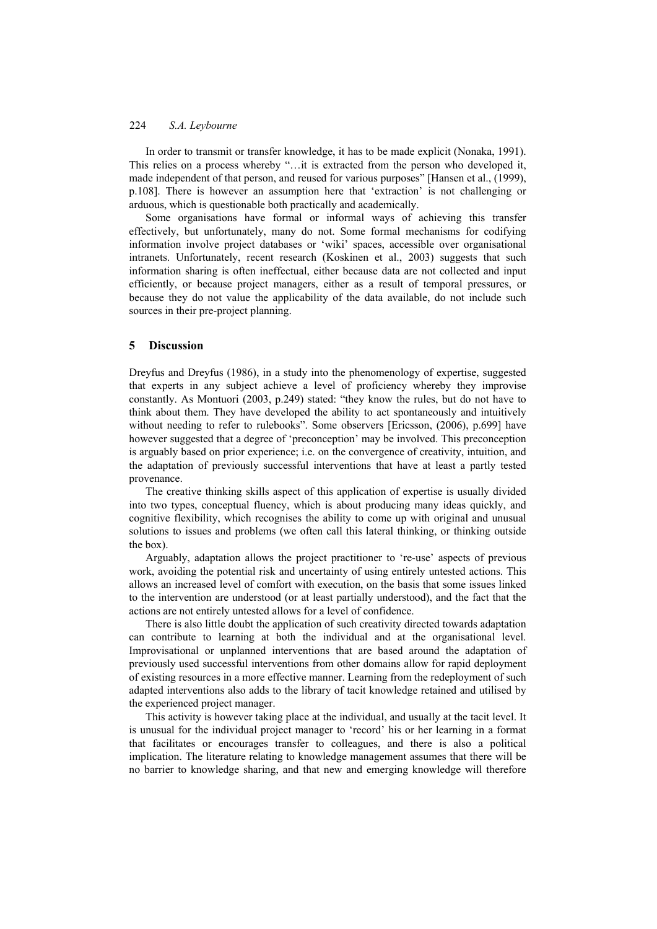In order to transmit or transfer knowledge, it has to be made explicit (Nonaka, 1991). This relies on a process whereby "…it is extracted from the person who developed it, made independent of that person, and reused for various purposes" [Hansen et al., (1999), p.108]. There is however an assumption here that 'extraction' is not challenging or arduous, which is questionable both practically and academically.

Some organisations have formal or informal ways of achieving this transfer effectively, but unfortunately, many do not. Some formal mechanisms for codifying information involve project databases or 'wiki' spaces, accessible over organisational intranets. Unfortunately, recent research (Koskinen et al., 2003) suggests that such information sharing is often ineffectual, either because data are not collected and input efficiently, or because project managers, either as a result of temporal pressures, or because they do not value the applicability of the data available, do not include such sources in their pre-project planning.

#### **5 Discussion**

Dreyfus and Dreyfus (1986), in a study into the phenomenology of expertise, suggested that experts in any subject achieve a level of proficiency whereby they improvise constantly. As Montuori (2003, p.249) stated: "they know the rules, but do not have to think about them. They have developed the ability to act spontaneously and intuitively without needing to refer to rulebooks". Some observers [Ericsson, (2006), p.699] have however suggested that a degree of 'preconception' may be involved. This preconception is arguably based on prior experience; i.e. on the convergence of creativity, intuition, and the adaptation of previously successful interventions that have at least a partly tested provenance.

The creative thinking skills aspect of this application of expertise is usually divided into two types, conceptual fluency, which is about producing many ideas quickly, and cognitive flexibility, which recognises the ability to come up with original and unusual solutions to issues and problems (we often call this lateral thinking, or thinking outside the box).

Arguably, adaptation allows the project practitioner to 're-use' aspects of previous work, avoiding the potential risk and uncertainty of using entirely untested actions. This allows an increased level of comfort with execution, on the basis that some issues linked to the intervention are understood (or at least partially understood), and the fact that the actions are not entirely untested allows for a level of confidence.

There is also little doubt the application of such creativity directed towards adaptation can contribute to learning at both the individual and at the organisational level. Improvisational or unplanned interventions that are based around the adaptation of previously used successful interventions from other domains allow for rapid deployment of existing resources in a more effective manner. Learning from the redeployment of such adapted interventions also adds to the library of tacit knowledge retained and utilised by the experienced project manager.

This activity is however taking place at the individual, and usually at the tacit level. It is unusual for the individual project manager to 'record' his or her learning in a format that facilitates or encourages transfer to colleagues, and there is also a political implication. The literature relating to knowledge management assumes that there will be no barrier to knowledge sharing, and that new and emerging knowledge will therefore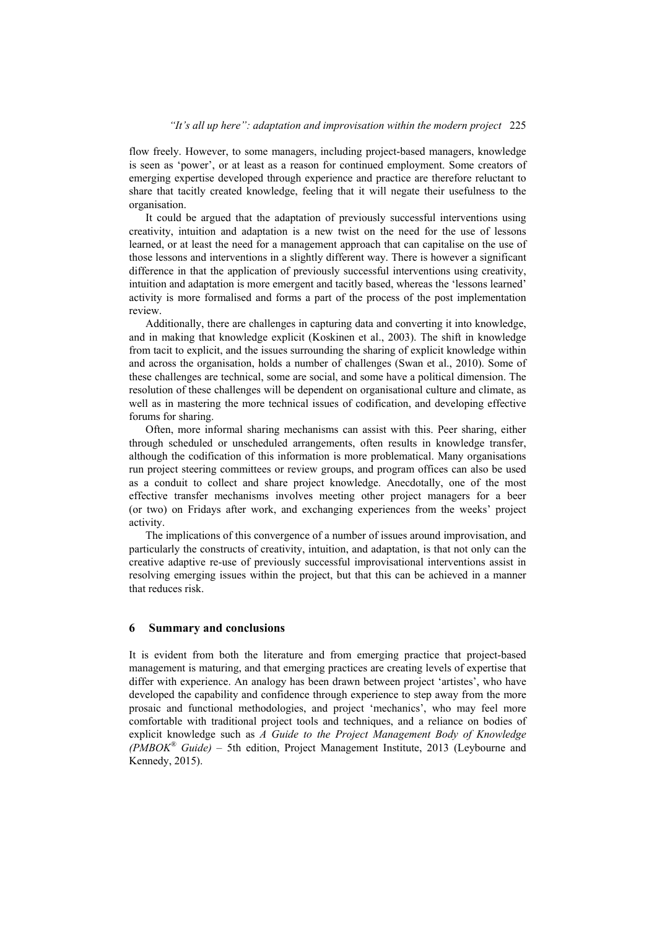flow freely. However, to some managers, including project-based managers, knowledge is seen as 'power', or at least as a reason for continued employment. Some creators of emerging expertise developed through experience and practice are therefore reluctant to share that tacitly created knowledge, feeling that it will negate their usefulness to the organisation.

It could be argued that the adaptation of previously successful interventions using creativity, intuition and adaptation is a new twist on the need for the use of lessons learned, or at least the need for a management approach that can capitalise on the use of those lessons and interventions in a slightly different way. There is however a significant difference in that the application of previously successful interventions using creativity, intuition and adaptation is more emergent and tacitly based, whereas the 'lessons learned' activity is more formalised and forms a part of the process of the post implementation review.

Additionally, there are challenges in capturing data and converting it into knowledge, and in making that knowledge explicit (Koskinen et al., 2003). The shift in knowledge from tacit to explicit, and the issues surrounding the sharing of explicit knowledge within and across the organisation, holds a number of challenges (Swan et al., 2010). Some of these challenges are technical, some are social, and some have a political dimension. The resolution of these challenges will be dependent on organisational culture and climate, as well as in mastering the more technical issues of codification, and developing effective forums for sharing.

Often, more informal sharing mechanisms can assist with this. Peer sharing, either through scheduled or unscheduled arrangements, often results in knowledge transfer, although the codification of this information is more problematical. Many organisations run project steering committees or review groups, and program offices can also be used as a conduit to collect and share project knowledge. Anecdotally, one of the most effective transfer mechanisms involves meeting other project managers for a beer (or two) on Fridays after work, and exchanging experiences from the weeks' project activity.

The implications of this convergence of a number of issues around improvisation, and particularly the constructs of creativity, intuition, and adaptation, is that not only can the creative adaptive re-use of previously successful improvisational interventions assist in resolving emerging issues within the project, but that this can be achieved in a manner that reduces risk.

#### **6 Summary and conclusions**

It is evident from both the literature and from emerging practice that project-based management is maturing, and that emerging practices are creating levels of expertise that differ with experience. An analogy has been drawn between project 'artistes', who have developed the capability and confidence through experience to step away from the more prosaic and functional methodologies, and project 'mechanics', who may feel more comfortable with traditional project tools and techniques, and a reliance on bodies of explicit knowledge such as *A Guide to the Project Management Body of Knowledge (PMBOK® Guide) –* 5th edition, Project Management Institute, 2013 (Leybourne and Kennedy, 2015).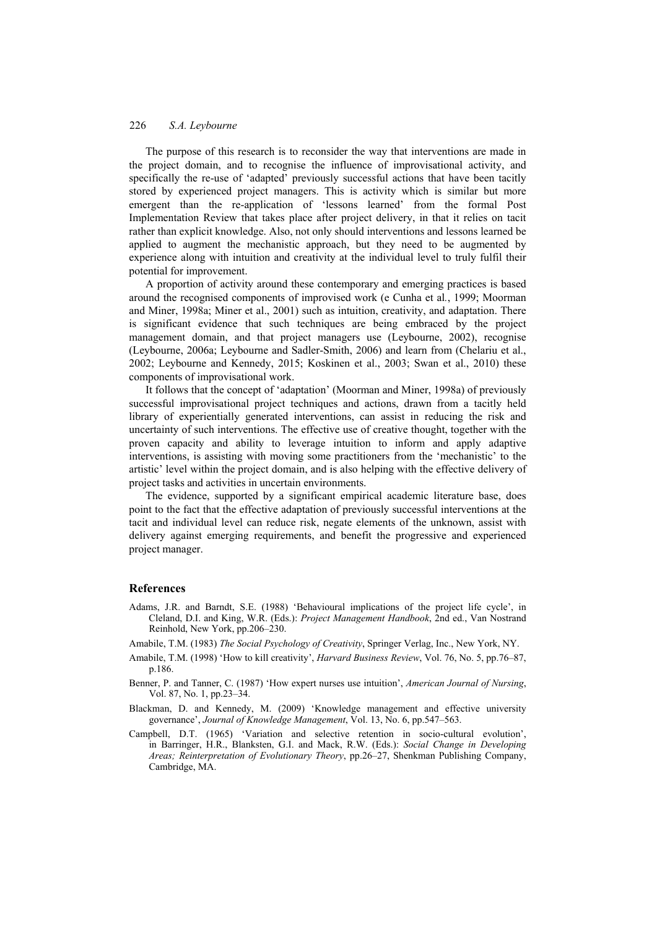The purpose of this research is to reconsider the way that interventions are made in the project domain, and to recognise the influence of improvisational activity, and specifically the re-use of 'adapted' previously successful actions that have been tacitly stored by experienced project managers. This is activity which is similar but more emergent than the re-application of 'lessons learned' from the formal Post Implementation Review that takes place after project delivery, in that it relies on tacit rather than explicit knowledge. Also, not only should interventions and lessons learned be applied to augment the mechanistic approach, but they need to be augmented by experience along with intuition and creativity at the individual level to truly fulfil their potential for improvement.

A proportion of activity around these contemporary and emerging practices is based around the recognised components of improvised work (e Cunha et al*.*, 1999; Moorman and Miner, 1998a; Miner et al., 2001) such as intuition, creativity, and adaptation. There is significant evidence that such techniques are being embraced by the project management domain, and that project managers use (Leybourne, 2002), recognise (Leybourne, 2006a; Leybourne and Sadler-Smith, 2006) and learn from (Chelariu et al., 2002; Leybourne and Kennedy, 2015; Koskinen et al., 2003; Swan et al., 2010) these components of improvisational work.

It follows that the concept of 'adaptation' (Moorman and Miner, 1998a) of previously successful improvisational project techniques and actions, drawn from a tacitly held library of experientially generated interventions, can assist in reducing the risk and uncertainty of such interventions. The effective use of creative thought, together with the proven capacity and ability to leverage intuition to inform and apply adaptive interventions, is assisting with moving some practitioners from the 'mechanistic' to the artistic' level within the project domain, and is also helping with the effective delivery of project tasks and activities in uncertain environments.

The evidence, supported by a significant empirical academic literature base, does point to the fact that the effective adaptation of previously successful interventions at the tacit and individual level can reduce risk, negate elements of the unknown, assist with delivery against emerging requirements, and benefit the progressive and experienced project manager.

#### **References**

- Adams, J.R. and Barndt, S.E. (1988) 'Behavioural implications of the project life cycle', in Cleland, D.I. and King, W.R. (Eds.): *Project Management Handbook*, 2nd ed., Van Nostrand Reinhold, New York, pp.206–230.
- Amabile, T.M. (1983) *The Social Psychology of Creativity*, Springer Verlag, Inc., New York, NY.
- Amabile, T.M. (1998) 'How to kill creativity', *Harvard Business Review*, Vol. 76, No. 5, pp.76–87, p.186.
- Benner, P. and Tanner, C. (1987) 'How expert nurses use intuition', *American Journal of Nursing*, Vol. 87, No. 1, pp.23–34.
- Blackman, D. and Kennedy, M. (2009) 'Knowledge management and effective university governance', *Journal of Knowledge Management*, Vol. 13, No. 6, pp.547–563.
- Campbell, D.T. (1965) 'Variation and selective retention in socio-cultural evolution', in Barringer, H.R., Blanksten, G.I. and Mack, R.W. (Eds.): *Social Change in Developing Areas; Reinterpretation of Evolutionary Theory*, pp.26–27, Shenkman Publishing Company, Cambridge, MA.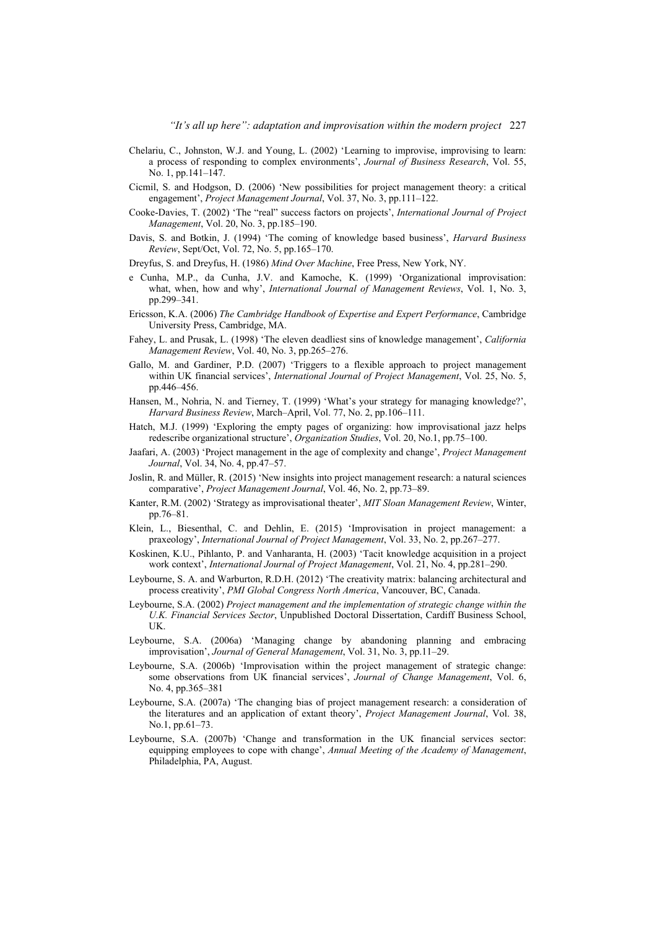- Chelariu, C., Johnston, W.J. and Young, L. (2002) 'Learning to improvise, improvising to learn: a process of responding to complex environments', *Journal of Business Research*, Vol. 55, No. 1, pp.141–147.
- Cicmil, S. and Hodgson, D. (2006) 'New possibilities for project management theory: a critical engagement', *Project Management Journal*, Vol. 37, No. 3, pp.111–122.
- Cooke-Davies, T. (2002) 'The "real" success factors on projects', *International Journal of Project Management*, Vol. 20, No. 3, pp.185–190.
- Davis, S. and Botkin, J. (1994) 'The coming of knowledge based business', *Harvard Business Review*, Sept/Oct, Vol. 72, No. 5, pp.165–170.
- Dreyfus, S. and Dreyfus, H. (1986) *Mind Over Machine*, Free Press, New York, NY.
- e Cunha, M.P., da Cunha, J.V. and Kamoche, K. (1999) 'Organizational improvisation: what, when, how and why', *International Journal of Management Reviews*, Vol. 1, No. 3, pp.299–341.
- Ericsson, K.A. (2006) *The Cambridge Handbook of Expertise and Expert Performance*, Cambridge University Press, Cambridge, MA.
- Fahey, L. and Prusak, L. (1998) 'The eleven deadliest sins of knowledge management', *California Management Review*, Vol. 40, No. 3, pp.265–276.
- Gallo, M. and Gardiner, P.D. (2007) 'Triggers to a flexible approach to project management within UK financial services', *International Journal of Project Management*, Vol. 25, No. 5, pp.446–456.
- Hansen, M., Nohria, N. and Tierney, T. (1999) 'What's your strategy for managing knowledge?', *Harvard Business Review*, March–April, Vol. 77, No. 2, pp.106–111.
- Hatch, M.J. (1999) 'Exploring the empty pages of organizing: how improvisational jazz helps redescribe organizational structure', *Organization Studies*, Vol. 20, No.1, pp.75–100.
- Jaafari, A. (2003) 'Project management in the age of complexity and change', *Project Management Journal*, Vol. 34, No. 4, pp.47–57.
- Joslin, R. and Müller, R. (2015) 'New insights into project management research: a natural sciences comparative', *Project Management Journal*, Vol. 46, No. 2, pp.73–89.
- Kanter, R.M. (2002) 'Strategy as improvisational theater', *MIT Sloan Management Review*, Winter, pp.76–81.
- Klein, L., Biesenthal, C. and Dehlin, E. (2015) 'Improvisation in project management: a praxeology', *International Journal of Project Management*, Vol. 33, No. 2, pp.267–277.
- Koskinen, K.U., Pihlanto, P. and Vanharanta, H. (2003) 'Tacit knowledge acquisition in a project work context', *International Journal of Project Management*, Vol. 21, No. 4, pp.281–290.
- Leybourne, S. A. and Warburton, R.D.H. (2012) 'The creativity matrix: balancing architectural and process creativity', *PMI Global Congress North America*, Vancouver, BC, Canada.
- Leybourne, S.A. (2002) *Project management and the implementation of strategic change within the U.K. Financial Services Sector*, Unpublished Doctoral Dissertation, Cardiff Business School, UK.
- Leybourne, S.A. (2006a) 'Managing change by abandoning planning and embracing improvisation', *Journal of General Management*, Vol. 31, No. 3, pp.11–29.
- Leybourne, S.A. (2006b) 'Improvisation within the project management of strategic change: some observations from UK financial services', *Journal of Change Management*, Vol. 6, No. 4, pp.365–381
- Leybourne, S.A. (2007a) 'The changing bias of project management research: a consideration of the literatures and an application of extant theory', *Project Management Journal*, Vol. 38, No.1, pp.61–73.
- Leybourne, S.A. (2007b) 'Change and transformation in the UK financial services sector: equipping employees to cope with change', *Annual Meeting of the Academy of Management*, Philadelphia, PA, August.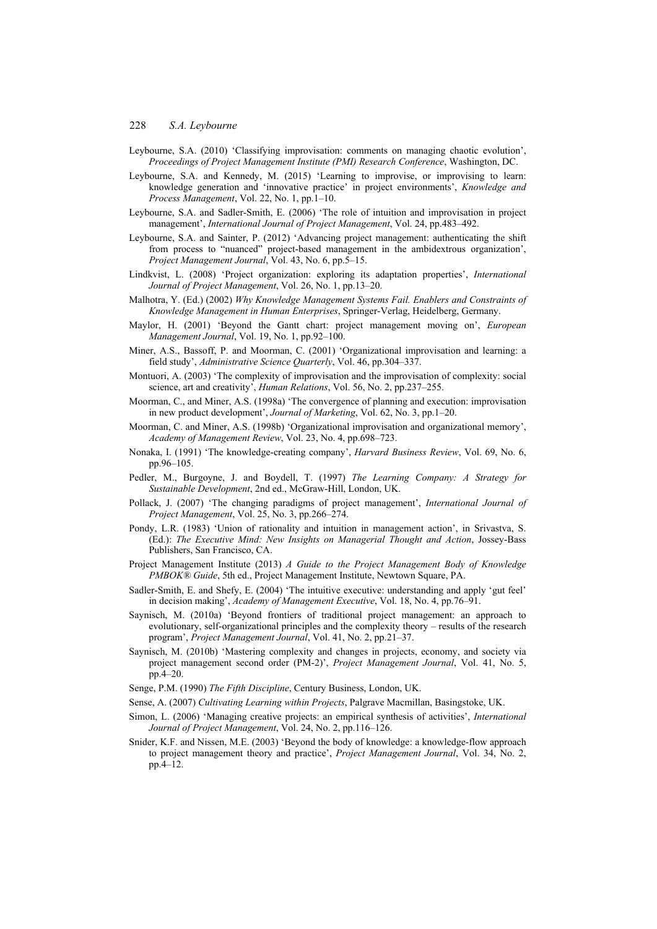- Leybourne, S.A. (2010) 'Classifying improvisation: comments on managing chaotic evolution', *Proceedings of Project Management Institute (PMI) Research Conference*, Washington, DC.
- Leybourne, S.A. and Kennedy, M. (2015) 'Learning to improvise, or improvising to learn: knowledge generation and 'innovative practice' in project environments', *Knowledge and Process Management*, Vol. 22, No. 1, pp.1–10.
- Leybourne, S.A. and Sadler-Smith, E. (2006) 'The role of intuition and improvisation in project management', *International Journal of Project Management*, Vol. 24, pp.483–492.
- Leybourne, S.A. and Sainter, P. (2012) 'Advancing project management: authenticating the shift from process to "nuanced" project-based management in the ambidextrous organization', *Project Management Journal*, Vol. 43, No. 6, pp.5–15.
- Lindkvist, L. (2008) 'Project organization: exploring its adaptation properties', *International Journal of Project Management*, Vol. 26, No. 1, pp.13–20.
- Malhotra, Y. (Ed.) (2002) *Why Knowledge Management Systems Fail. Enablers and Constraints of Knowledge Management in Human Enterprises*, Springer-Verlag, Heidelberg, Germany.
- Maylor, H. (2001) 'Beyond the Gantt chart: project management moving on', *European Management Journal*, Vol. 19, No. 1, pp.92–100.
- Miner, A.S., Bassoff, P. and Moorman, C. (2001) 'Organizational improvisation and learning: a field study', *Administrative Science Quarterly*, Vol. 46, pp.304–337.
- Montuori, A. (2003) 'The complexity of improvisation and the improvisation of complexity: social science, art and creativity', *Human Relations*, Vol. 56, No. 2, pp.237–255.
- Moorman, C., and Miner, A.S. (1998a) 'The convergence of planning and execution: improvisation in new product development', *Journal of Marketing*, Vol. 62, No. 3, pp.1–20.
- Moorman, C. and Miner, A.S. (1998b) 'Organizational improvisation and organizational memory', *Academy of Management Review*, Vol. 23, No. 4, pp.698–723.
- Nonaka, I. (1991) 'The knowledge-creating company', *Harvard Business Review*, Vol. 69, No. 6, pp.96–105.
- Pedler, M., Burgoyne, J. and Boydell, T. (1997) *The Learning Company: A Strategy for Sustainable Development*, 2nd ed., McGraw-Hill, London, UK.
- Pollack, J. (2007) 'The changing paradigms of project management', *International Journal of Project Management*, Vol. 25, No. 3, pp.266–274.
- Pondy, L.R. (1983) 'Union of rationality and intuition in management action', in Srivastva, S. (Ed.): *The Executive Mind: New Insights on Managerial Thought and Action*, Jossey-Bass Publishers, San Francisco, CA.
- Project Management Institute (2013) *A Guide to the Project Management Body of Knowledge PMBOK® Guide*, 5th ed., Project Management Institute, Newtown Square, PA.
- Sadler-Smith, E. and Shefy, E. (2004) 'The intuitive executive: understanding and apply 'gut feel' in decision making', *Academy of Management Executive*, Vol. 18, No. 4, pp.76–91.
- Saynisch, M. (2010a) 'Beyond frontiers of traditional project management: an approach to evolutionary, self-organizational principles and the complexity theory – results of the research program', *Project Management Journal*, Vol. 41, No. 2, pp.21–37.
- Saynisch, M. (2010b) 'Mastering complexity and changes in projects, economy, and society via project management second order (PM-2)', *Project Management Journal*, Vol. 41, No. 5, pp.4–20.
- Senge, P.M. (1990) *The Fifth Discipline*, Century Business, London, UK.
- Sense, A. (2007) *Cultivating Learning within Projects*, Palgrave Macmillan, Basingstoke, UK.
- Simon, L. (2006) 'Managing creative projects: an empirical synthesis of activities', *International Journal of Project Management*, Vol. 24, No. 2, pp.116–126.
- Snider, K.F. and Nissen, M.E. (2003) 'Beyond the body of knowledge: a knowledge-flow approach to project management theory and practice', *Project Management Journal*, Vol. 34, No. 2, pp.4–12.